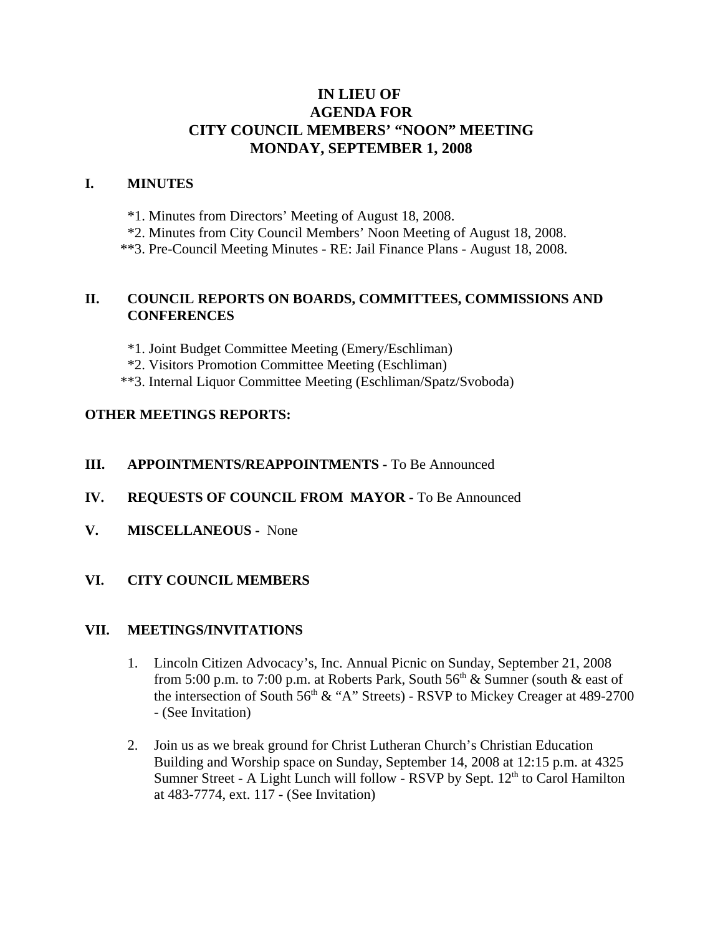# **IN LIEU OF AGENDA FOR CITY COUNCIL MEMBERS' "NOON" MEETING MONDAY, SEPTEMBER 1, 2008**

#### **I. MINUTES**

- \*1. Minutes from Directors' Meeting of August 18, 2008.
- \*2. Minutes from City Council Members' Noon Meeting of August 18, 2008.
- \*\*3. Pre-Council Meeting Minutes RE: Jail Finance Plans August 18, 2008.

#### **II. COUNCIL REPORTS ON BOARDS, COMMITTEES, COMMISSIONS AND CONFERENCES**

- \*1. Joint Budget Committee Meeting (Emery/Eschliman)
- \*2. Visitors Promotion Committee Meeting (Eschliman)
- \*\*3. Internal Liquor Committee Meeting (Eschliman/Spatz/Svoboda)

## **OTHER MEETINGS REPORTS:**

- **III.** APPOINTMENTS/REAPPOINTMENTS To Be Announced
- **IV. REQUESTS OF COUNCIL FROM MAYOR -** To Be Announced
- **V. MISCELLANEOUS -** None

## **VI. CITY COUNCIL MEMBERS**

#### **VII. MEETINGS/INVITATIONS**

- 1. Lincoln Citizen Advocacy's, Inc. Annual Picnic on Sunday, September 21, 2008 from 5:00 p.m. to 7:00 p.m. at Roberts Park, South  $56<sup>th</sup>$  & Sumner (south & east of the intersection of South  $56<sup>th</sup>$  & "A" Streets) - RSVP to Mickey Creager at 489-2700 - (See Invitation)
- 2. Join us as we break ground for Christ Lutheran Church's Christian Education Building and Worship space on Sunday, September 14, 2008 at 12:15 p.m. at 4325 Sumner Street - A Light Lunch will follow - RSVP by Sept.  $12<sup>th</sup>$  to Carol Hamilton at 483-7774, ext. 117 - (See Invitation)